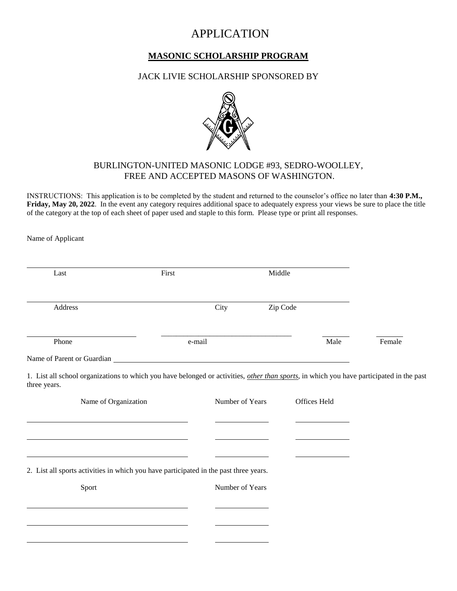# APPLICATION

## **MASONIC SCHOLARSHIP PROGRAM**

#### JACK LIVIE SCHOLARSHIP SPONSORED BY



### BURLINGTON-UNITED MASONIC LODGE #93, SEDRO-WOOLLEY, FREE AND ACCEPTED MASONS OF WASHINGTON.

INSTRUCTIONS: This application is to be completed by the student and returned to the counselor's office no later than **4:30 P.M., Friday, May 20, 2022**. In the event any category requires additional space to adequately express your views be sure to place the title of the category at the top of each sheet of paper used and staple to this form. Please type or print all responses.

Name of Applicant

| Address                                                                                                                                                  |        |                 |              |        |
|----------------------------------------------------------------------------------------------------------------------------------------------------------|--------|-----------------|--------------|--------|
|                                                                                                                                                          |        | City            | Zip Code     |        |
| Phone                                                                                                                                                    | e-mail |                 | Male         | Female |
|                                                                                                                                                          |        |                 |              |        |
| 1. List all school organizations to which you have belonged or activities, other than sports, in which you have participated in the past<br>three years. |        |                 |              |        |
| Name of Organization                                                                                                                                     |        | Number of Years | Offices Held |        |
|                                                                                                                                                          |        |                 |              |        |
|                                                                                                                                                          |        |                 |              |        |
|                                                                                                                                                          |        |                 |              |        |
| 2. List all sports activities in which you have participated in the past three years.                                                                    |        |                 |              |        |
| Sport                                                                                                                                                    |        | Number of Years |              |        |
|                                                                                                                                                          |        |                 |              |        |
|                                                                                                                                                          |        |                 |              |        |
|                                                                                                                                                          |        |                 |              |        |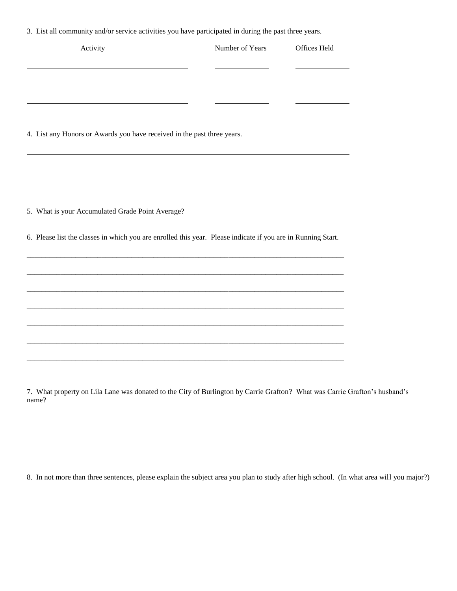3. List all community and/or service activities you have participated in during the past three years.

| Activity                                                                                                     | Number of Years | Offices Held |
|--------------------------------------------------------------------------------------------------------------|-----------------|--------------|
|                                                                                                              |                 |              |
|                                                                                                              |                 |              |
|                                                                                                              |                 |              |
| 4. List any Honors or Awards you have received in the past three years.                                      |                 |              |
|                                                                                                              |                 |              |
|                                                                                                              |                 |              |
|                                                                                                              |                 |              |
| 5. What is your Accumulated Grade Point Average?                                                             |                 |              |
| 6. Please list the classes in which you are enrolled this year. Please indicate if you are in Running Start. |                 |              |
|                                                                                                              |                 |              |
|                                                                                                              |                 |              |
|                                                                                                              |                 |              |
|                                                                                                              |                 |              |
|                                                                                                              |                 |              |
|                                                                                                              |                 |              |

7. What property on Lila Lane was donated to the City of Burlington by Carrie Grafton? What was Carrie Grafton's husband's name?

8. In not more than three sentences, please explain the subject area you plan to study after high school. (In what area will you major?)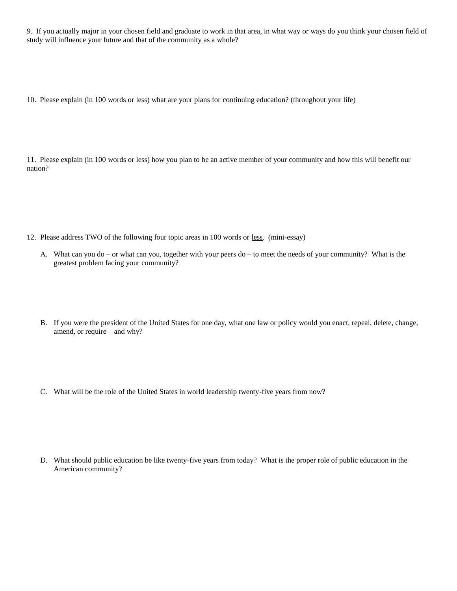9. If you actually major in your chosen field and graduate to work in that area, in what way or ways do you think your chosen field of study will influence your future and that of the community as a whole?

10. Please explain (in 100 words or less) what are your plans for continuing education? (throughout your life)

11. Please explain (in 100 words or less) how you plan to be an active member of your community and how this will benefit our nation?

- 12. Please address TWO of the following four topic areas in 100 words or less. (mini-essay)
	- A. What can you do or what can you, together with your peers do to meet the needs of your community? What is the greatest problem facing your community?
	- B. If you were the president of the United States for one day, what one law or policy would you enact, repeal, delete, change, amend, or require – and why?
	- C. What will be the role of the United States in world leadership twenty-five years from now?

D. What should public education be like twenty-five years from today? What is the proper role of public education in the American community?